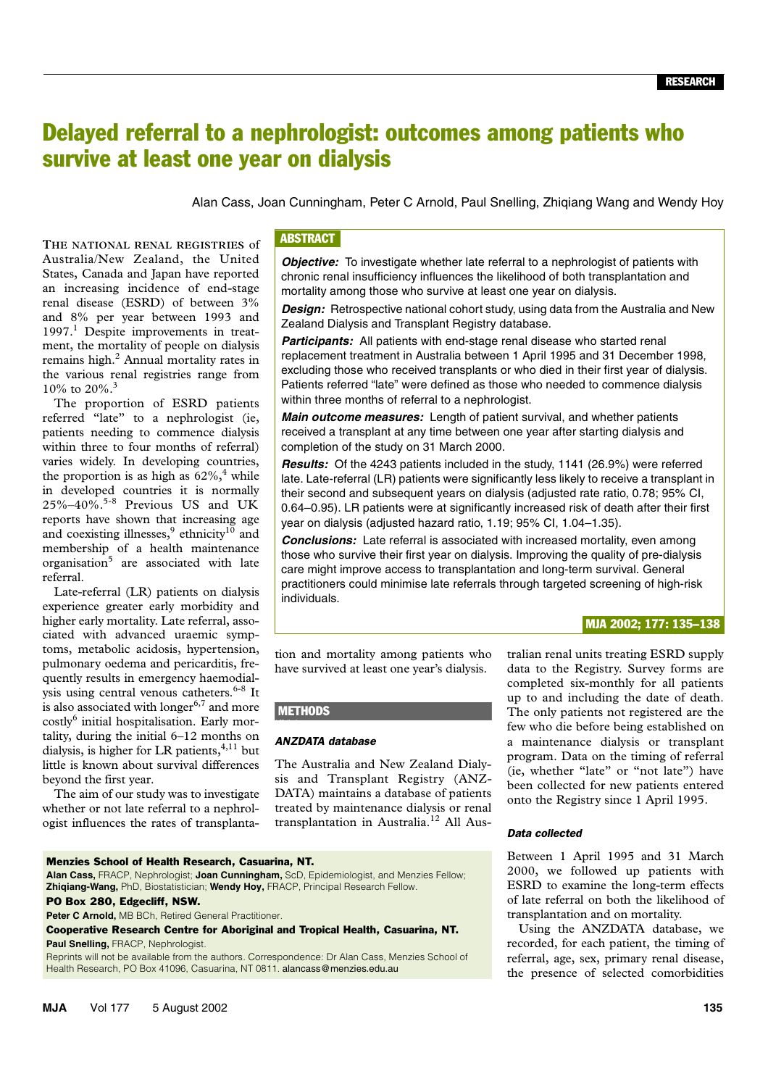# Delayed referral to a nephrologist: outcomes among patients who survive at least one year on dialysis

Alan Cass, Joan Cunningham, Peter C Arnold, Paul Snelling, Zhiqiang Wang and Wendy Hoy

States, Canada and Japan have reported an increasing incidence of end-stage renal disease (ESRD) of between 3%  $\frac{100}{20}$ and 8% per year between 1993 and **THE NATIONAL RENAL REGISTRIES** of Australia/New Zealand, the United 1997.<sup>1</sup> Despite improvements in treatment, the mortality of people on dialysis remains high.<sup>2</sup> Annual mortality rates in the various renal registries range from 10% to 20%.3

The proportion of ESRD patients referred "late" to a nephrologist (ie, patients needing to commence dialysis within three to four months of referral) varies widely. In developing countries, the proportion is as high as  $62\%$ ,<sup>4</sup> while in developed countries it is normally  $25\% - 40\%$ .<sup>5-8</sup> Previous US and UK reports have shown that increasing age and coexisting illnesses,<sup>9</sup> ethnicity<sup>10</sup> and membership of a health maintenance organisation<sup>5</sup> are associated with late referral.

Late-referral (LR) patients on dialysis experience greater early morbidity and higher early mortality. Late referral, associated with advanced uraemic symptoms, metabolic acidosis, hypertension, pulmonary oedema and pericarditis, frequently results in emergency haemodialysis using central venous catheters. $6-8$  It is also associated with longer $6,7$  and more costly<sup>6</sup> initial hospitalisation. Early mortality, during the initial 6–12 months on dialysis, is higher for LR patients,  $4,11$  but little is known about survival differences beyond the first year.

The aim of our study was to investigate whether or not late referral to a nephrologist influences the rates of transplanta-

Menzies School of Health Research, Casuarina, NT.

Peter C Arnold, MB BCh, Retired General Practitioner.

# **ABSTRACT**

**Objective:** To investigate whether late referral to a nephrologist of patients with chronic renal insufficiency influences the likelihood of both transplantation and mortality among those who survive at least one year on dialysis.

*Design:* Retrospective national cohort study, using data from the Australia and New Zealand Dialysis and Transplant Registry database.

**Participants:** All patients with end-stage renal disease who started renal replacement treatment in Australia between 1 April 1995 and 31 December 1998, excluding those who received transplants or who died in their first year of dialysis. Patients referred "late" were defined as those who needed to commence dialysis within three months of referral to a nephrologist.

*Main outcome measures:* Length of patient survival, and whether patients received a transplant at any time between one year after starting dialysis and completion of the study on 31 March 2000.

*Results:* Of the 4243 patients included in the study, 1141 (26.9%) were referred late. Late-referral (LR) patients were significantly less likely to receive a transplant in their second and subsequent years on dialysis (adjusted rate ratio, 0.78; 95% CI, 0.64–0.95). LR patients were at significantly increased risk of death after their first year on dialysis (adjusted hazard ratio, 1.19; 95% CI, 1.04–1.35).

*Conclusions:* Late referral is associated with increased mortality, even among those who survive their first year on dialysis. Improving the quality of pre-dialysis care might improve access to transplantation and long-term survival. General practitioners could minimise late referrals through targeted screening of high-risk individuals.

# MJA 2002; 177: 135–138

tion and mortality among patients who have survived at least one year's dialysis.

# **METHODS**

**Alan Cass,** FRACP, Nephrologist; **Joan Cunningham,** ScD, Epidemiologist, and Menzies Fellow;

Cooperative Research Centre for Aboriginal and Tropical Health, Casuarina, NT.

Reprints will not be available from the authors. Correspondence: Dr Alan Cass, Menzies School of

**Zhiqiang-Wang,** PhD, Biostatistician; **Wendy Hoy,** FRACP, Principal Research Fellow.

Health Research, PO Box 41096, Casuarina, NT 0811. alancass@menzies.edu.au

#### *ANZDATA database*

The Australia and New Zealand Dialysis and Transplant Registry (ANZ-DATA) maintains a database of patients treated by maintenance dialysis or renal transplantation in Australia.<sup>12</sup> All Australian renal units treating ESRD supply data to the Registry. Survey forms are completed six-monthly for all patients up to and including the date of death. The only patients not registered are the few who die before being established on a maintenance dialysis or transplant program. Data on the timing of referral (ie, whether "late" or "not late") have been collected for new patients entered onto the Registry since 1 April 1995.

### *Data collected*

Between 1 April 1995 and 31 March 2000, we followed up patients with ESRD to examine the long-term effects of late referral on both the likelihood of transplantation and on mortality.

Using the ANZDATA database, we recorded, for each patient, the timing of referral, age, sex, primary renal disease, the presence of selected comorbidities

PO Box 280, Edgecliff, NSW.

**Paul Snelling,** FRACP, Nephrologist.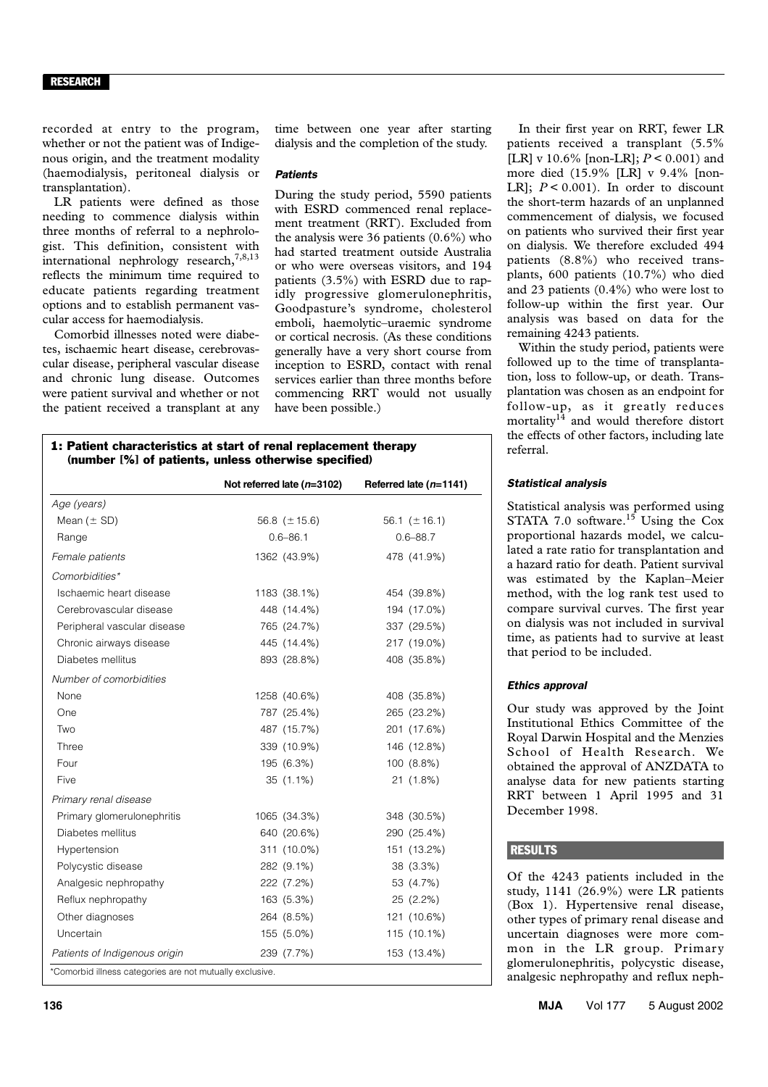#### RESEARCH

recorded at entry to the program, whether or not the patient was of Indigenous origin, and the treatment modality (haemodialysis, peritoneal dialysis or transplantation).

LR patients were defined as those needing to commence dialysis within three months of referral to a nephrologist. This definition, consistent with international nephrology research,  $7,8,13$ reflects the minimum time required to educate patients regarding treatment options and to establish permanent vascular access for haemodialysis.

Comorbid illnesses noted were diabetes, ischaemic heart disease, cerebrovascular disease, peripheral vascular disease and chronic lung disease. Outcomes were patient survival and whether or not the patient received a transplant at any time between one year after starting dialysis and the completion of the study.

# *Patients*

During the study period, 5590 patients with ESRD commenced renal replacement treatment (RRT). Excluded from the analysis were 36 patients (0.6%) who had started treatment outside Australia or who were overseas visitors, and 194 patients (3.5%) with ESRD due to rapidly progressive glomerulonephritis, Goodpasture's syndrome, cholesterol emboli, haemolytic–uraemic syndrome or cortical necrosis. (As these conditions generally have a very short course from inception to ESRD, contact with renal services earlier than three months before commencing RRT would not usually have been possible.)

1: Patient characteristics at start of renal replacement therapy (number [%] of patients, unless otherwise specified)

|                                                          | Not referred late $(n=3102)$ | Referred late $(n=1141)$ |
|----------------------------------------------------------|------------------------------|--------------------------|
| Age (years)                                              |                              |                          |
| Mean $(± SD)$                                            | 56.8 $(\pm 15.6)$            | 56.1 $(\pm 16.1)$        |
| Range                                                    | $0.6 - 86.1$                 | $0.6 - 88.7$             |
| Female patients                                          | 1362 (43.9%)                 | 478 (41.9%)              |
| Comorbidities*                                           |                              |                          |
| Ischaemic heart disease                                  | 1183 (38.1%)                 | 454 (39.8%)              |
| Cerebrovascular disease                                  | 448 (14.4%)                  | 194 (17.0%)              |
| Peripheral vascular disease                              | 765 (24.7%)                  | 337 (29.5%)              |
| Chronic airways disease                                  | 445 (14.4%)                  | 217 (19.0%)              |
| Diabetes mellitus                                        | 893 (28.8%)                  | 408 (35.8%)              |
| Number of comorbidities                                  |                              |                          |
| None                                                     | 1258 (40.6%)                 | 408 (35.8%)              |
| One                                                      | 787 (25.4%)                  | 265 (23.2%)              |
| Two                                                      | 487 (15.7%)                  | 201 (17.6%)              |
| Three                                                    | 339 (10.9%)                  | 146 (12.8%)              |
| Four                                                     | 195 (6.3%)                   | 100 (8.8%)               |
| Five                                                     | $35(1.1\%)$                  | 21 (1.8%)                |
| Primary renal disease                                    |                              |                          |
| Primary glomerulonephritis                               | 1065 (34.3%)                 | 348 (30.5%)              |
| Diabetes mellitus                                        | 640 (20.6%)                  | 290 (25.4%)              |
| Hypertension                                             | 311 (10.0%)                  | 151 (13.2%)              |
| Polycystic disease                                       | 282 (9.1%)                   | 38 (3.3%)                |
| Analgesic nephropathy                                    | 222 (7.2%)                   | 53 (4.7%)                |
| Reflux nephropathy                                       | 163 (5.3%)                   | 25 (2.2%)                |
| Other diagnoses                                          | 264 (8.5%)                   | 121 (10.6%)              |
| Uncertain                                                | 155 (5.0%)                   | 115 (10.1%)              |
| Patients of Indigenous origin                            | 239 (7.7%)                   | 153 (13.4%)              |
| *Comorbid illness categories are not mutually exclusive. |                              |                          |

In their first year on RRT, fewer LR patients received a transplant (5.5% [LR] v 10.6% [non-LR]; *P* < 0.001) and more died (15.9% [LR] v 9.4% [non-LR];  $P < 0.001$ ). In order to discount the short-term hazards of an unplanned commencement of dialysis, we focused on patients who survived their first year on dialysis. We therefore excluded 494 patients (8.8%) who received transplants, 600 patients (10.7%) who died and 23 patients (0.4%) who were lost to follow-up within the first year. Our analysis was based on data for the remaining 4243 patients.

Within the study period, patients were followed up to the time of transplantation, loss to follow-up, or death. Transplantation was chosen as an endpoint for follow-up, as it greatly reduces mortality $14$  and would therefore distort the effects of other factors, including late referral.

#### *Statistical analysis*

Statistical analysis was performed using STATA 7.0 software.<sup>15</sup> Using the Cox proportional hazards model, we calculated a rate ratio for transplantation and a hazard ratio for death. Patient survival was estimated by the Kaplan–Meier method, with the log rank test used to compare survival curves. The first year on dialysis was not included in survival time, as patients had to survive at least that period to be included.

#### *Ethics approval*

Our study was approved by the Joint Institutional Ethics Committee of the Royal Darwin Hospital and the Menzies School of Health Research. We obtained the approval of ANZDATA to analyse data for new patients starting RRT between 1 April 1995 and 31 December 1998.

#### **RESULTS**

Of the 4243 patients included in the study, 1141 (26.9%) were LR patients (Box 1). Hypertensive renal disease, other types of primary renal disease and uncertain diagnoses were more common in the LR group. Primary glomerulonephritis, polycystic disease, analgesic nephropathy and reflux neph-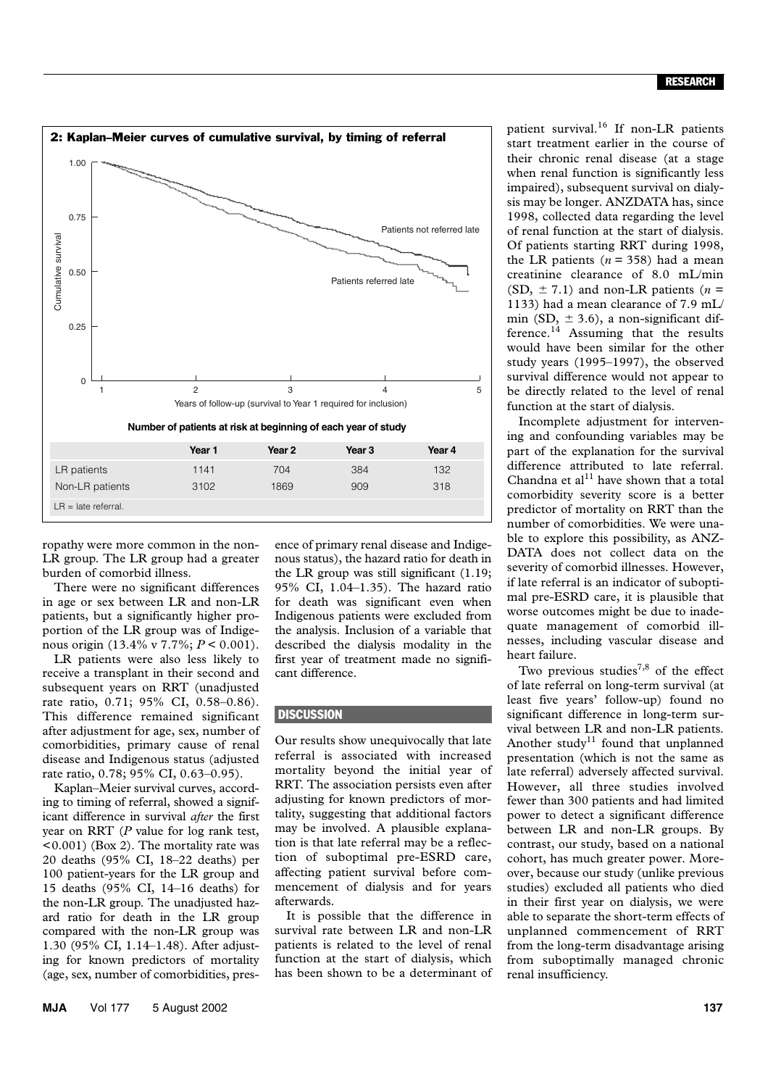

ropathy were more common in the non-LR group. The LR group had a greater burden of comorbid illness.

There were no significant differences in age or sex between LR and non-LR patients, but a significantly higher proportion of the LR group was of Indigenous origin (13.4% v 7.7%; *P* < 0.001).

LR patients were also less likely to receive a transplant in their second and subsequent years on RRT (unadjusted rate ratio, 0.71; 95% CI, 0.58–0.86). This difference remained significant after adjustment for age, sex, number of comorbidities, primary cause of renal disease and Indigenous status (adjusted rate ratio, 0.78; 95% CI, 0.63–0.95).

Kaplan–Meier survival curves, according to timing of referral, showed a significant difference in survival *after* the first year on RRT (*P* value for log rank test, <0.001) (Box 2). The mortality rate was 20 deaths (95% CI, 18–22 deaths) per 100 patient-years for the LR group and 15 deaths (95% CI, 14–16 deaths) for the non-LR group. The unadjusted hazard ratio for death in the LR group compared with the non-LR group was 1.30 (95% CI, 1.14–1.48). After adjusting for known predictors of mortality (age, sex, number of comorbidities, presence of primary renal disease and Indigenous status), the hazard ratio for death in the LR group was still significant (1.19; 95% CI, 1.04–1.35). The hazard ratio for death was significant even when Indigenous patients were excluded from the analysis. Inclusion of a variable that described the dialysis modality in the first year of treatment made no significant difference.

## **DISCUSSION**

1.Discussion

Our results show unequivocally that late referral is associated with increased mortality beyond the initial year of RRT. The association persists even after adjusting for known predictors of mortality, suggesting that additional factors may be involved. A plausible explanation is that late referral may be a reflection of suboptimal pre-ESRD care, affecting patient survival before commencement of dialysis and for years afterwards.

It is possible that the difference in survival rate between LR and non-LR patients is related to the level of renal function at the start of dialysis, which has been shown to be a determinant of patient survival.16 If non-LR patients start treatment earlier in the course of their chronic renal disease (at a stage when renal function is significantly less impaired), subsequent survival on dialysis may be longer. ANZDATA has, since 1998, collected data regarding the level of renal function at the start of dialysis. Of patients starting RRT during 1998, the LR patients  $(n = 358)$  had a mean creatinine clearance of 8.0 mL/min (SD,  $\pm$  7.1) and non-LR patients ( $n =$ 1133) had a mean clearance of 7.9 mL/ min (SD,  $\pm$  3.6), a non-significant difference.<sup>14</sup> Assuming that the results would have been similar for the other study years (1995–1997), the observed survival difference would not appear to be directly related to the level of renal function at the start of dialysis.

Incomplete adjustment for intervening and confounding variables may be part of the explanation for the survival difference attributed to late referral. Chandna et  $al<sup>11</sup>$  have shown that a total comorbidity severity score is a better predictor of mortality on RRT than the number of comorbidities. We were unable to explore this possibility, as ANZ-DATA does not collect data on the severity of comorbid illnesses. However, if late referral is an indicator of suboptimal pre-ESRD care, it is plausible that worse outcomes might be due to inadequate management of comorbid illnesses, including vascular disease and heart failure.

Two previous studies<sup>7,8</sup> of the effect of late referral on long-term survival (at least five years' follow-up) found no significant difference in long-term survival between LR and non-LR patients. Another study<sup>11</sup> found that unplanned presentation (which is not the same as late referral) adversely affected survival. However, all three studies involved fewer than 300 patients and had limited power to detect a significant difference between LR and non-LR groups. By contrast, our study, based on a national cohort, has much greater power. Moreover, because our study (unlike previous studies) excluded all patients who died in their first year on dialysis, we were able to separate the short-term effects of unplanned commencement of RRT from the long-term disadvantage arising from suboptimally managed chronic renal insufficiency.